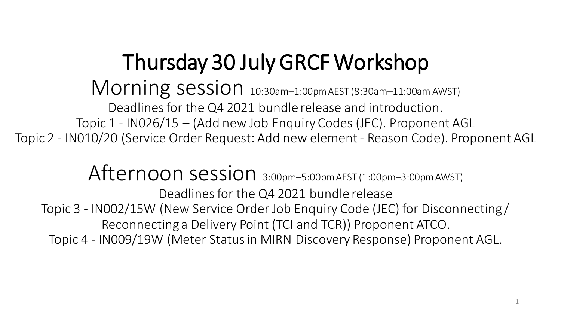# Thursday 30 July GRCF Workshop

### Morning session 10:30am-1:00pm AEST (8:30am-11:00am AWST)

Deadlines for the Q4 2021 bundle release and introduction.

Topic 1 - IN026/15 – (Add new Job Enquiry Codes (JEC). Proponent AGL

Topic 2 - IN010/20 (Service Order Request: Add new element - Reason Code). Proponent AGL

# Afternoon session 3:00pm-5:00pm AEST (1:00pm-3:00pm AWST)

Deadlines for the Q4 2021 bundle release Topic 3 - IN002/15W (New Service Order Job Enquiry Code (JEC) for Disconnecting / Reconnecting a Delivery Point (TCI and TCR)) Proponent ATCO. Topic 4 - IN009/19W (Meter Status in MIRN Discovery Response) Proponent AGL.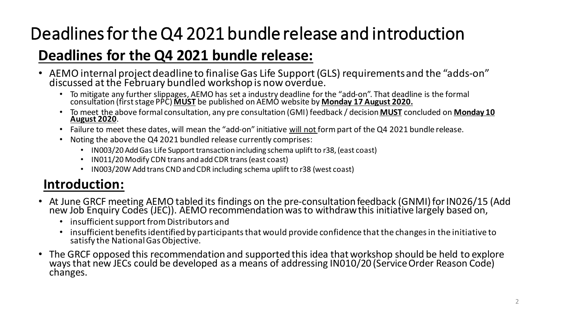# Deadlines for the Q4 2021 bundle release and introduction

#### **Deadlines for the Q4 2021 bundle release:**

- AEMO internal project deadline to finalise Gas Life Support (GLS) requirements and the "adds-on" discussed at the February bundled workshop is now overdue.
	- To mitigate any further slippages, AEMO has set a industry deadline for the "add-on". That deadline is the formal consultation (first stage PPC) **MUST** be published on AEMO website by **Monday 17 August 2020.**
	- To meet the above formal consultation, any pre consultation (GMI) feedback / decision **MUST** concluded on **Monday 10 August 2020**.
	- Failure to meet these dates, will mean the "add-on" initiative will not form part of the Q4 2021 bundle release.
	- Noting the above the Q4 2021 bundled release currently comprises:
		- IN003/20 Add Gas Life Support transaction including schema uplift to r38, (east coast)
		- IN011/20 Modify CDN trans and add CDR trans (east coast)
		- IN003/20W Add trans CND and CDR including schema uplift to r38 (west coast)

#### **Introduction:**

- At June GRCF meeting AEMO tabled its findings on the pre-consultation feedback (GNMI) for IN026/15 (Add new Job Enquiry Codes (JEC)). AEMO recommendation was to withdraw this initiative largely based on,
	- insufficient support from Distributors and
	- insufficient benefits identified by participants that would provide confidence that the changes in the initiative to satisfy the National Gas Objective.
- The GRCF opposed this recommendation and supported this idea that workshop should be held to explore ways that new JECs could be developed as a means of addressing IN010/20 (Service Order Reason Code) changes.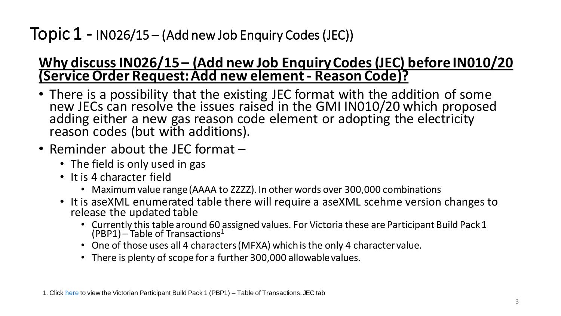#### **Why discuss IN026/15 – (Add new Job Enquiry Codes (JEC) before IN010/20 (Service Order Request: Add new element - Reason Code)?**

- There is a possibility that the existing JEC format with the addition of some new JECs can resolve the issues raised in the GMI IN010/20 which proposed adding either a new gas reason code element or adopting the electricity reason codes (but with additions).
- Reminder about the JEC format
	- The field is only used in gas
	- It is 4 character field
		- Maximum value range (AAAA to ZZZZ). In other words over 300,000 combinations
	- It is aseXML enumerated table there will require a aseXML scehme version changes to release the updated table
		- Currently this table around 60 assigned values. For Victoria these are Participant Build Pack 1 (PBP1) – Table of Transactions<sup>1</sup>
		- One of those uses all 4 characters (MFXA) which is the only 4 character value.
		- There is plenty of scope for a further 300,000 allowable values.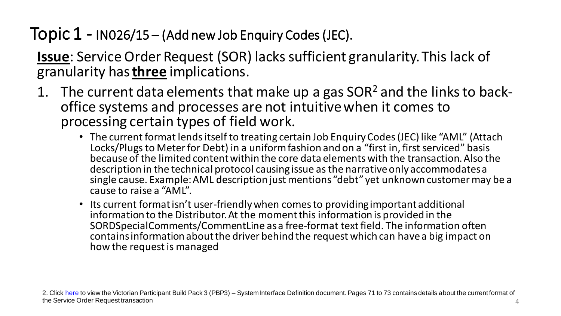**Issue**: Service Order Request (SOR) lacks sufficient granularity. This lack of granularity has **three** implications.

- 1. The current data elements that make up a gas  $SOR<sup>2</sup>$  and the links to backoffice systems and processes are not intuitive when it comes to processing certain types of field work.
	- The current format lends itself to treating certain Job Enquiry Codes (JEC) like "AML" (Attach Locks/Plugs to Meter for Debt) in a uniform fashion and on a "first in, first serviced" basis because of the limited content within the core data elements with the transaction. Also the description in the technical protocol causing issue as the narrative only accommodates a single cause. Example: AML description just mentions "debt" yet unknown customer may be a cause to raise a "AML".
	- Its current format isn't user-friendly when comes to providing important additional information to the Distributor. At the moment this information is provided in the SORDSpecialComments/CommentLine as a free-format text field. The information often contains information about the driver behind the request which can have a big impact on how the request is managed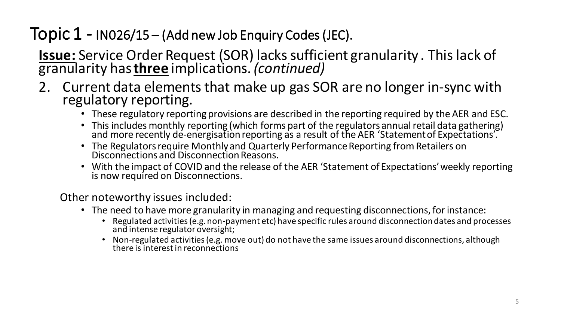**Issue:** Service Order Request (SOR) lacks sufficient granularity . This lack of granularity has **three** implications. *(continued)*

- 2. Current data elements that make up gas SOR are no longer in-sync with regulatory reporting.
	- These regulatory reporting provisions are described in the reporting required by the AER and ESC.
	- This includes monthly reporting (which forms part of the regulators annual retail data gathering) and more recently de-energisation reporting as a result of the AER 'Statement of Expectations'.
	- The Regulators require Monthly and Quarterly Performance Reporting from Retailers on Disconnections and Disconnection Reasons.
	- With the impact of COVID and the release of the AER 'Statement of Expectations' weekly reporting is now required on Disconnections.

Other noteworthy issues included:

- The need to have more granularity in managing and requesting disconnections, for instance:
	- Regulated activities (e.g. non-payment etc) have specific rules around disconnection dates and processes and intense regulator oversight;
	- Non-regulated activities (e.g. move out) do not have the same issues around disconnections, although there is interest in reconnections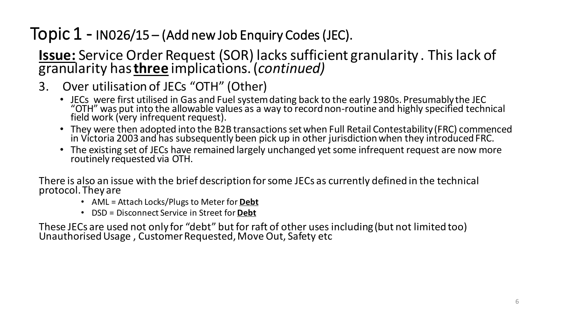#### **Issue:** Service Order Request (SOR) lacks sufficient granularity . This lack of granularity has **three** implications. (*continued)*

- 3. Over utilisation of JECs "OTH" (Other)
	- JECs were first utilised in Gas and Fuel system dating back to the early 1980s. Presumably the JEC "OTH" was put into the allowable values as a way to record non-routine and highly specified technical field work (very infrequent request).
	- They were then adopted into the B2B transactions set when Full Retail Contestability (FRC) commenced in Victoria 2003 and has subsequently been pick up in other jurisdiction when they introduced FRC.
	- The existing set of JECs have remained largely unchanged yet some infrequent request are now more routinely requested via OTH.

There is also an issue with the brief description for some JECs as currently defined in the technical protocol. They are

- AML = Attach Locks/Plugs to Meter for **Debt**
- DSD = Disconnect Service in Street for **Debt**

These JECs are used not only for "debt" but for raft of other uses including (but not limited too) Unauthorised Usage , Customer Requested, Move Out, Safety etc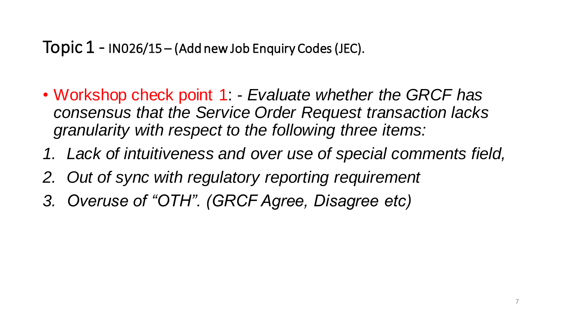- Workshop check point 1: *Evaluate whether the GRCF has consensus that the Service Order Request transaction lacks granularity with respect to the following three items:*
- *1. Lack of intuitiveness and over use of special comments field,*
- *2. Out of sync with regulatory reporting requirement*
- *3. Overuse of "OTH". (GRCF Agree, Disagree etc)*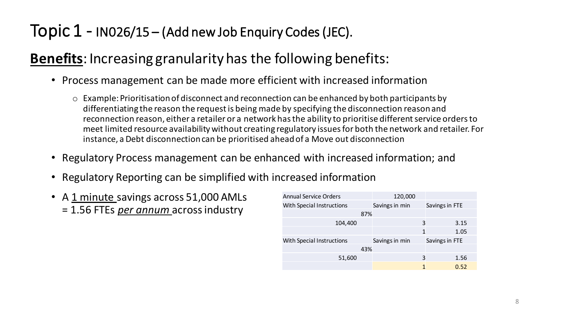#### **Benefits**: Increasing granularity has the following benefits:

- Process management can be made more efficient with increased information
	- o Example: Prioritisation of disconnect and reconnection can be enhanced by both participants by differentiating the reason the request is being made by specifying the disconnection reason and reconnection reason, either a retailer or a network has the ability to prioritise different service orders to meet limited resource availability without creating regulatory issues for both the network and retailer. For instance, a Debt disconnection can be prioritised ahead of a Move out disconnection
- Regulatory Process management can be enhanced with increased information; and
- Regulatory Reporting can be simplified with increased information
- A 1 minute savings across 51,000 AMLs = 1.56 FTEs *per annum* across industry

| <b>Annual Service Orders</b>     |     | 120,000        |   |                |      |
|----------------------------------|-----|----------------|---|----------------|------|
| <b>With Special Instructions</b> |     | Savings in min |   | Savings in FTE |      |
|                                  | 87% |                |   |                |      |
| 104,400                          |     |                | 3 |                | 3.15 |
|                                  |     |                | 1 |                | 1.05 |
| <b>With Special Instructions</b> |     | Savings in min |   | Savings in FTE |      |
|                                  | 43% |                |   |                |      |
| 51,600                           |     |                | 3 |                | 1.56 |
|                                  |     |                | 1 |                | 0.52 |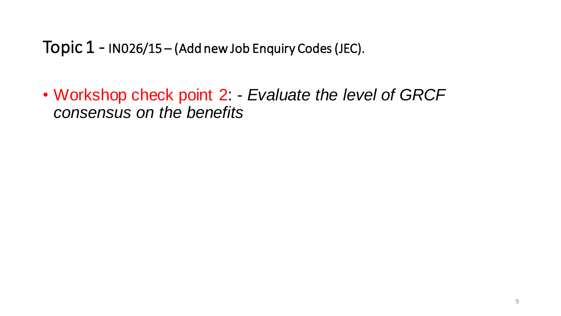• Workshop check point 2: - *Evaluate the level of GRCF consensus on the benefits*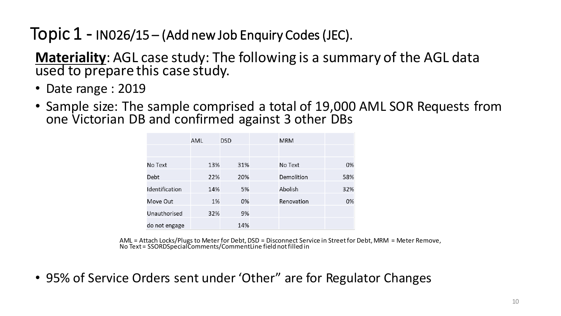**Materiality**: AGL case study: The following is a summary of the AGL data used to prepare this case study.

- Date range : 2019
- Sample size: The sample comprised a total of 19,000 AML SOR Requests from one Victorian DB and confirmed against 3 other DBs

|                | AML | <b>DSD</b> | <b>MRM</b> |     |
|----------------|-----|------------|------------|-----|
|                |     |            |            |     |
| No Text        | 13% | 31%        | No Text    | 0%  |
| Debt           | 22% | 20%        | Demolition | 58% |
| Identification | 14% | 5%         | Abolish    | 32% |
| Move Out       | 1%  | 0%         | Renovation | 0%  |
| Unauthorised   | 32% | 9%         |            |     |
| do not engage  |     | 14%        |            |     |

AML = Attach Locks/Plugs to Meter for Debt, DSD = Disconnect Service in Street for Debt, MRM = Meter Remove, No Text = SSORDSpecialComments/CommentLine field not filled in

• 95% of Service Orders sent under 'Other" are for Regulator Changes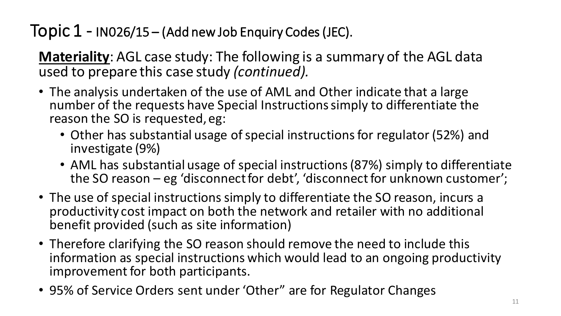**Materiality**: AGL case study: The following is a summary of the AGL data used to prepare this case study *(continued).* 

- The analysis undertaken of the use of AML and Other indicate that a large number of the requests have Special Instructions simply to differentiate the reason the SO is requested, eg:
	- Other has substantial usage of special instructions for regulator (52%) and investigate (9%)
	- AML has substantial usage of special instructions (87%) simply to differentiate the SO reason – eg 'disconnect for debt', 'disconnect for unknown customer';
- The use of special instructions simply to differentiate the SO reason, incurs a productivity cost impact on both the network and retailer with no additional benefit provided (such as site information)
- Therefore clarifying the SO reason should remove the need to include this information as special instructions which would lead to an ongoing productivity improvement for both participants.
- 95% of Service Orders sent under 'Other" are for Regulator Changes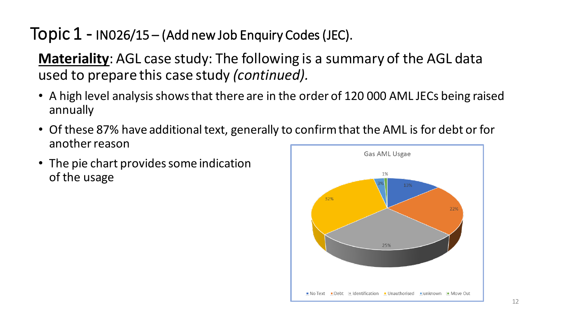**Materiality**: AGL case study: The following is a summary of the AGL data used to prepare this case study *(continued).* 

- A high level analysis shows that there are in the order of 120 000 AML JECs being raised annually
- Of these 87% have additional text, generally to confirm that the AML is for debt or for another reason
- The pie chart provides some indication of the usage

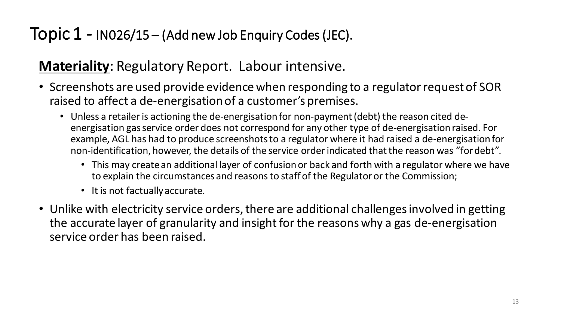#### **Materiality**: Regulatory Report. Labour intensive.

- Screenshots are used provide evidence when responding to a regulator request of SOR raised to affect a de-energisation of a customer's premises.
	- Unless a retailer is actioning the de-energisation for non-payment (debt) the reason cited deenergisation gas service order does not correspond for any other type of de-energisation raised. For example, AGL has had to produce screenshots to a regulator where it had raised a de-energisation for non-identification, however, the details of the service order indicated that the reason was "for debt".
		- This may create an additional layer of confusion or back and forth with a regulator where we have to explain the circumstances and reasons to staff of the Regulator or the Commission;
		- It is not factually accurate.
- Unlike with electricity service orders, there are additional challenges involved in getting the accurate layer of granularity and insight for the reasons why a gas de-energisation service order has been raised.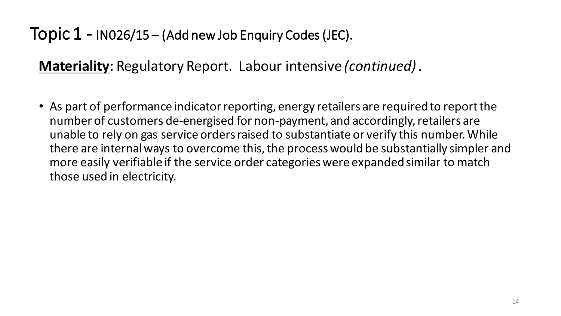**Materiality**: Regulatory Report. Labour intensive *(continued)* .

• As part of performance indicator reporting, energy retailers are required to report the number of customers de-energised for non-payment, and accordingly, retailers are unable to rely on gas service orders raised to substantiate or verify this number. While there are internal ways to overcome this, the process would be substantially simpler and more easily verifiable if the service order categories were expanded similar to match those used in electricity.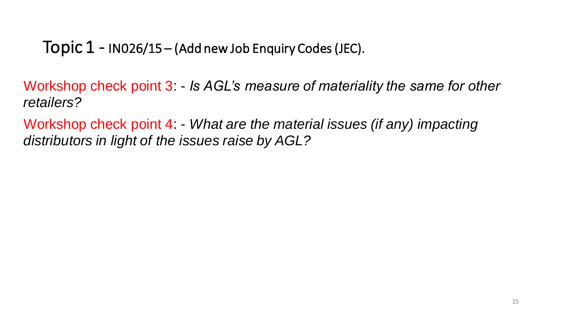Workshop check point 3: - *Is AGL's measure of materiality the same for other retailers?* 

Workshop check point 4: - *What are the material issues (if any) impacting distributors in light of the issues raise by AGL?*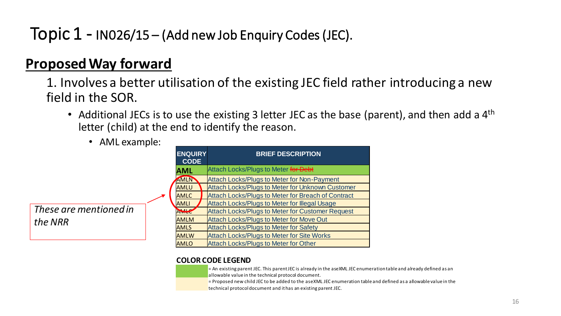#### **Proposed Way forward**

1. Involves a better utilisation of the existing JEC field rather introducing a new field in the SOR.

- Additional JECs is to use the existing 3 letter JEC as the base (parent), and then add a  $4<sup>th</sup>$ letter (child) at the end to identify the reason.
	- AML example:

*These are mentioned in the NRR*

|  | <b>ENQUIRY</b><br><b>CODE</b> | <b>BRIEF DESCRIPTION</b>                                |
|--|-------------------------------|---------------------------------------------------------|
|  | <b>AML</b>                    | Attach Locks/Plugs to Meter for Debt                    |
|  | AMLN                          | Attach Locks/Plugs to Meter for Non-Payment             |
|  | AMLU                          | <b>Attach Locks/Plugs to Meter for Unknown Customer</b> |
|  | <b>AMLC</b>                   | Attach Locks/Plugs to Meter for Breach of Contract      |
|  | <b>AMLI</b>                   | Attach Locks/Plugs to Meter for Illegal Usage           |
|  | <b>AMLC</b>                   | <b>Attach Locks/Plugs to Meter for Customer Request</b> |
|  | <b>AMLM</b>                   | <b>Attach Locks/Plugs to Meter for Move Out</b>         |
|  | <b>AMLS</b>                   | <b>Attach Locks/Plugs to Meter for Safety</b>           |
|  | <b>AMLW</b>                   | <b>Attach Locks/Plugs to Meter for Site Works</b>       |
|  | AMLO                          | <b>Attach Locks/Plugs to Meter for Other</b>            |

#### **COLOR CODE LEGEND**

= An existing parent JEC. This parent JEC is already in the aseXML JEC enumeration table and already defined as an allowable value in the technical protocol document.

= Proposed new child JEC to be added to the aseXML JEC enumeration table and defined as a allowable value in the technical protocol document and it has an existing parent JEC.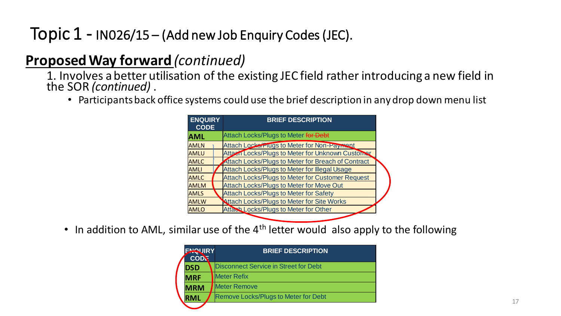#### **Proposed Way forward** *(continued)*

1. Involves a better utilisation of the existing JEC field rather introducing a new field in the SOR *(continued)* .

• Participants back office systems could use the brief description in any drop down menu list



• In addition to AML, similar use of the  $4<sup>th</sup>$  letter would also apply to the following

| <b>HOUIRY</b><br><b>COD</b> | <b>BRIEF DESCRIPTION</b>                    |
|-----------------------------|---------------------------------------------|
| <b>DSD</b>                  | Disconnect Service in Street for Debt       |
| <b>MRF</b>                  | <b>Meter Refix</b>                          |
| <b>MRM</b>                  | <b>Meter Remove</b>                         |
| <b>RML</b>                  | <b>Remove Locks/Plugs to Meter for Debt</b> |
|                             |                                             |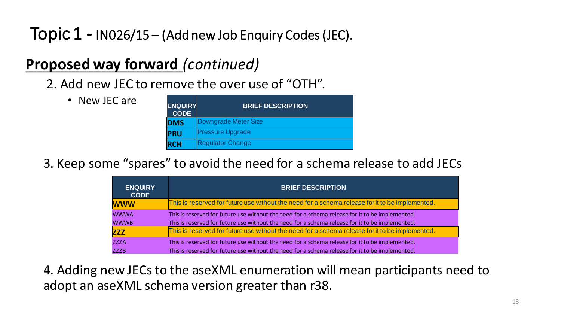#### **Proposed way forward** *(continued)*

2. Add new JEC to remove the over use of "OTH".

- New JEC are
- **ENQUIRY CODE BRIEF DESCRIPTION DMS** Downgrade Meter Size **PRU** Pressure Upgrade **RCH** Regulator Change

3. Keep some "spares" to avoid the need for a schema release to add JECs

| <b>ENQUIRY</b><br><b>CODE</b> | <b>BRIEF DESCRIPTION</b>                                                                        |
|-------------------------------|-------------------------------------------------------------------------------------------------|
| <b>WWW</b>                    | This is reserved for future use without the need for a schema release for it to be implemented. |
| <b>WWWA</b>                   | This is reserved for future use without the need for a schema release for it to be implemented. |
| <b>WWWB</b>                   | This is reserved for future use without the need for a schema release for it to be implemented. |
| <b>ZZZ</b>                    | This is reserved for future use without the need for a schema release for it to be implemented. |
| <b>ZZZA</b>                   | This is reserved for future use without the need for a schema release for it to be implemented. |
| <b>ZZZB</b>                   | This is reserved for future use without the need for a schema release for it to be implemented. |

4. Adding new JECs to the aseXML enumeration will mean participants need to adopt an aseXML schema version greater than r38.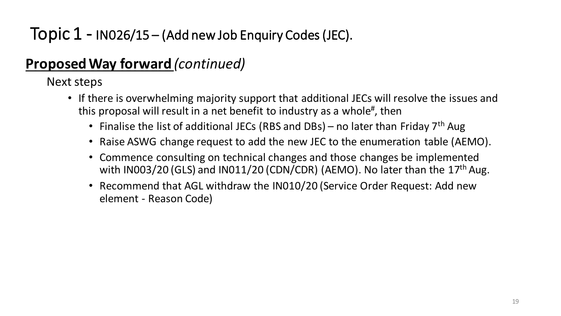#### **Proposed Way forward** *(continued)*

Next steps

- If there is overwhelming majority support that additional JECs will resolve the issues and this proposal will result in a net benefit to industry as a whole<sup>#</sup>, then
	- Finalise the list of additional JECs (RBS and DBs) no later than Friday  $7<sup>th</sup>$  Aug
	- Raise ASWG change request to add the new JEC to the enumeration table (AEMO).
	- Commence consulting on technical changes and those changes be implemented with IN003/20 (GLS) and IN011/20 (CDN/CDR) (AEMO). No later than the  $17<sup>th</sup>$  Aug.
	- Recommend that AGL withdraw the IN010/20 (Service Order Request: Add new element - Reason Code)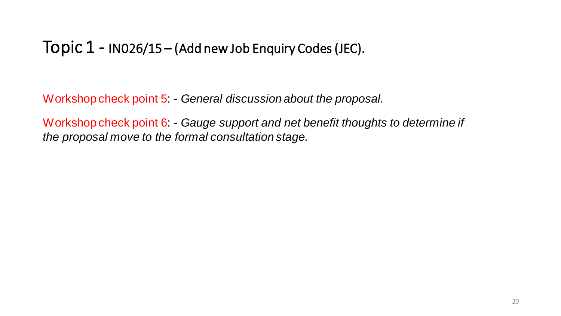Workshop check point 5: - *General discussion about the proposal.* 

Workshop check point 6: - *Gauge support and net benefit thoughts to determine if the proposal move to the formal consultation stage.*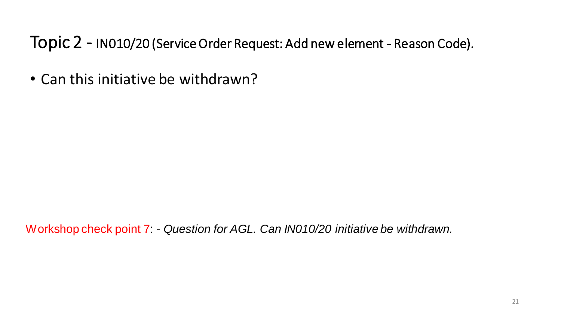Topic 2 - IN010/20 (Service Order Request: Add new element - Reason Code).

• Can this initiative be withdrawn?

Workshop check point 7: - *Question for AGL. Can IN010/20 initiative be withdrawn.*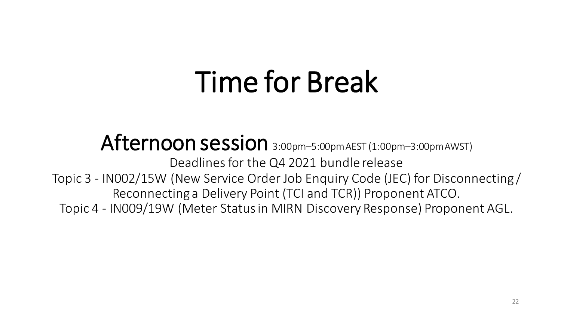# Time for Break

Afternoon session 3:00pm-5:00pmAEST (1:00pm-3:00pmAWST) Deadlines for the Q4 2021 bundle release Topic 3 - IN002/15W (New Service Order Job Enquiry Code (JEC) for Disconnecting / Reconnecting a Delivery Point (TCI and TCR)) Proponent ATCO. Topic 4 - IN009/19W (Meter Status in MIRN Discovery Response) Proponent AGL.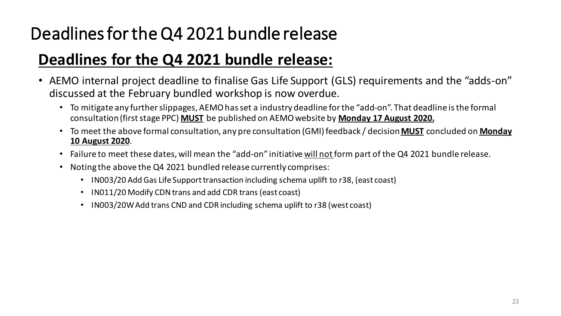## Deadlines for the Q4 2021 bundle release

#### **Deadlines for the Q4 2021 bundle release:**

- AEMO internal project deadline to finalise Gas Life Support (GLS) requirements and the "adds-on" discussed at the February bundled workshop is now overdue.
	- To mitigate any further slippages, AEMO has set a industry deadline for the "add-on". That deadline is the formal consultation (first stage PPC) **MUST** be published on AEMO website by **Monday 17 August 2020.**
	- To meet the above formal consultation, any pre consultation (GMI) feedback / decision **MUST** concluded on **Monday 10 August 2020**.
	- Failure to meet these dates, will mean the "add-on" initiative will not form part of the Q4 2021 bundle release.
	- Noting the above the Q4 2021 bundled release currently comprises:
		- IN003/20 Add Gas Life Support transaction including schema uplift to r38, (east coast)
		- IN011/20 Modify CDN trans and add CDR trans (east coast)
		- IN003/20W Add trans CND and CDR including schema uplift to r38 (west coast)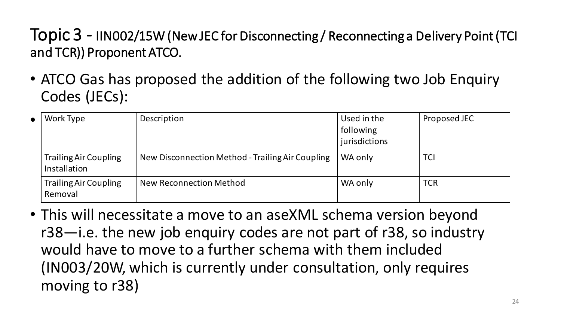• ATCO Gas has proposed the addition of the following two Job Enquiry Codes (JECs):

| $\bullet$ 1 | Work Type                                    | Description                                      | Used in the<br>following<br>jurisdictions | Proposed JEC |
|-------------|----------------------------------------------|--------------------------------------------------|-------------------------------------------|--------------|
|             | <b>Trailing Air Coupling</b><br>Installation | New Disconnection Method - Trailing Air Coupling | WA only                                   | <b>TCI</b>   |
|             | <b>Trailing Air Coupling</b><br>Removal      | New Reconnection Method                          | WA only                                   | <b>TCR</b>   |

• This will necessitate a move to an aseXML schema version beyond r38—i.e. the new job enquiry codes are not part of r38, so industry would have to move to a further schema with them included (IN003/20W, which is currently under consultation, only requires moving to r38)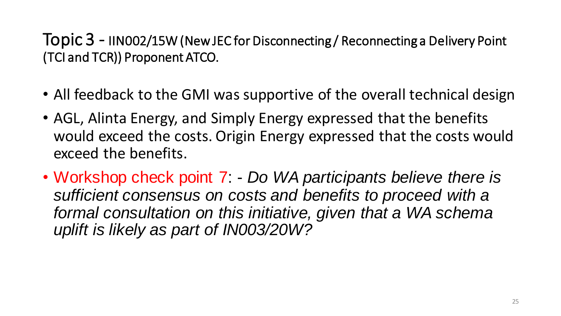- All feedback to the GMI was supportive of the overall technical design
- AGL, Alinta Energy, and Simply Energy expressed that the benefits would exceed the costs. Origin Energy expressed that the costs would exceed the benefits.
- Workshop check point 7: *Do WA participants believe there is sufficient consensus on costs and benefits to proceed with a*  formal consultation on this initiative, given that a WA schema *uplift is likely as part of IN003/20W?*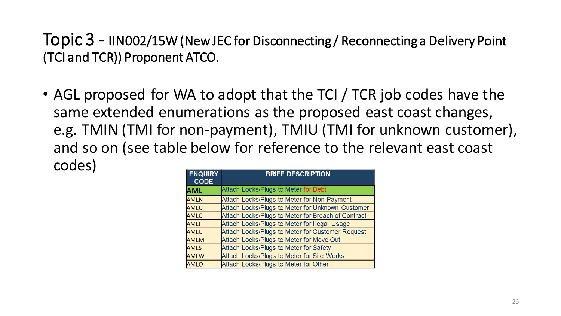• AGL proposed for WA to adopt that the TCI / TCR job codes have the same extended enumerations as the proposed east coast changes, e.g. TMIN (TMI for non-payment), TMIU (TMI for unknown customer), and so on (see table below for reference to the relevant east coast codes)

| <b>ENQUIRY</b><br><b>CODE</b> | <b>BRIEF DESCRIPTION</b>                           |  |  |
|-------------------------------|----------------------------------------------------|--|--|
| <b>AML</b>                    | Attach Locks/Plugs to Meter for Debt               |  |  |
| <b>AMLN</b>                   | Attach Locks/Plugs to Meter for Non-Payment        |  |  |
| AMLU                          | Attach Locks/Plugs to Meter for Unknown Customer   |  |  |
| <b>AMLC</b>                   | Attach Locks/Plugs to Meter for Breach of Contract |  |  |
| <b>AMLI</b>                   | Attach Locks/Plugs to Meter for Illegal Usage      |  |  |
| <b>AMLC</b>                   | Attach Locks/Plugs to Meter for Customer Request   |  |  |
| <b>AMLM</b>                   | Attach Locks/Plugs to Meter for Move Out           |  |  |
| <b>AMLS</b>                   | Attach Locks/Plugs to Meter for Safety             |  |  |
| <b>AMLW</b>                   | Attach Locks/Plugs to Meter for Site Works         |  |  |
| <b>AMLO</b>                   | Attach Locks/Plugs to Meter for Other              |  |  |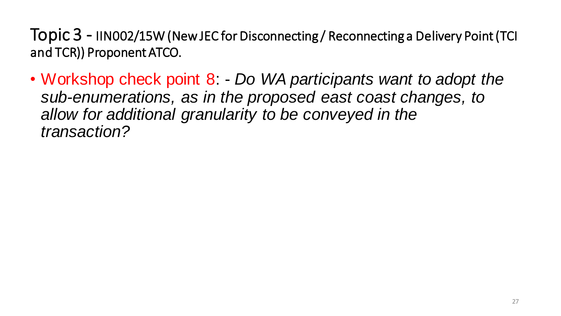• Workshop check point 8: - *Do WA participants want to adopt the sub-enumerations, as in the proposed east coast changes, to allow for additional granularity to be conveyed in the transaction?*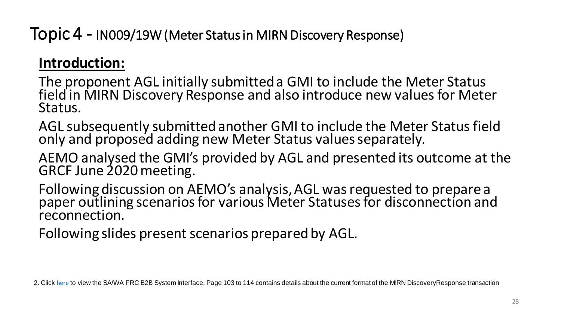#### **Introduction:**

The proponent AGL initially submitted a GMI to include the Meter Status field in MIRN Discovery Response and also introduce new values for Meter Status.

AGL subsequently submitted another GMI to include the Meter Status field only and proposed adding new Meter Status values separately.

AEMO analysed the GMI's provided by AGL and presented its outcome at the GRCF June 2020 meeting.

Following discussion on AEMO's analysis, AGL was requested to prepare a paper outlining scenarios for various Meter Statuses for disconnection and reconnection.

Following slides present scenarios prepared by AGL.

2. Click [here](https://www.aemo.com.au/-/media/files/gas/retail_markets_and_metering/market-procedures/sa_and_wa/2020/frc-b2b-system-interface-definitions-v46.pdf?la=en) to view the SA/WA FRC B2B System Interface. Page 103 to 114 contains details about the current format of the MIRN DiscoveryResponse transaction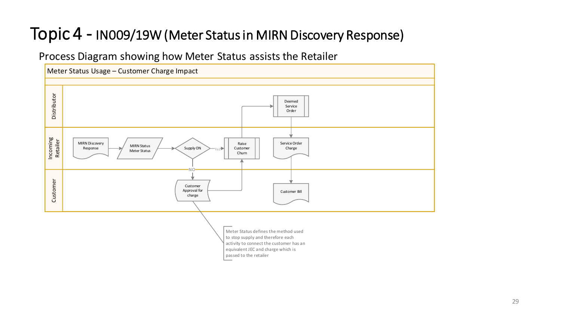#### Process Diagram showing how Meter Status assists the Retailer



passed to the retailer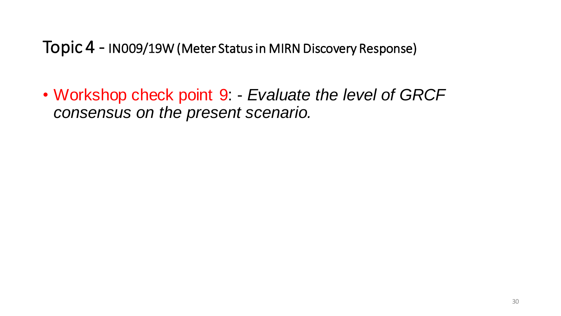• Workshop check point 9: - *Evaluate the level of GRCF consensus on the present scenario.*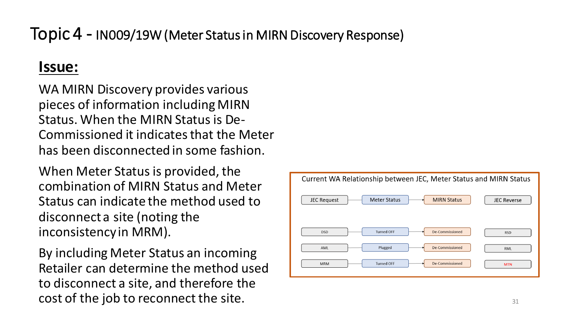#### **Issue:**

WA MIRN Discovery provides various pieces of information including MIRN Status. When the MIRN Status is De-Commissioned it indicates that the Meter has been disconnected in some fashion.

When Meter Status is provided, the combination of MIRN Status and Meter Status can indicate the method used to disconnect a site (noting the inconsistency in MRM).

By including Meter Status an incoming Retailer can determine the method used to disconnect a site, and therefore the cost of the job to reconnect the site.

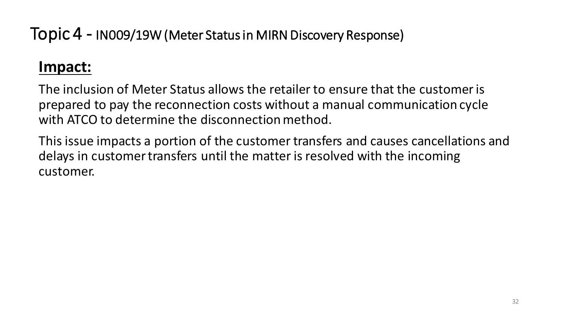#### **Impact:**

The inclusion of Meter Status allows the retailer to ensure that the customer is prepared to pay the reconnection costs without a manual communication cycle with ATCO to determine the disconnection method.

This issue impacts a portion of the customer transfers and causes cancellations and delays in customer transfers until the matter is resolved with the incoming customer.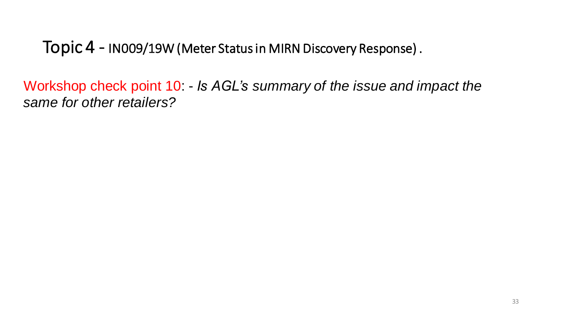Workshop check point 10: - *Is AGL's summary of the issue and impact the same for other retailers?*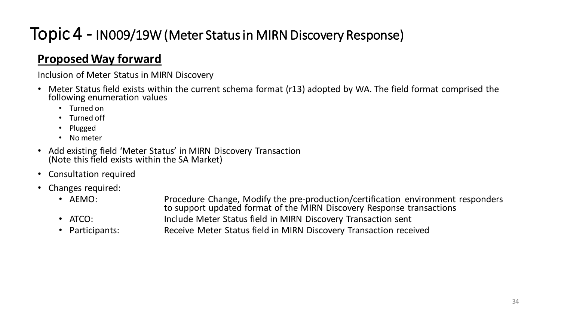#### **Proposed Way forward**

Inclusion of Meter Status in MIRN Discovery

- Meter Status field exists within the current schema format (r13) adopted by WA. The field format comprised the following enumeration values
	- Turned on
	- Turned off
	- Plugged
	- No meter
- Add existing field 'Meter Status' in MIRN Discovery Transaction (Note this field exists within the SA Market)
- Consultation required
- Changes required:
	- AEMO: Procedure Change, Modify the pre-production/certification environment responders to support updated format of the MIRN Discovery Response transactions
	-
	- ATCO: Include Meter Status field in MIRN Discovery Transaction sent • Participants: Receive Meter Status field in MIRN Discovery Transaction received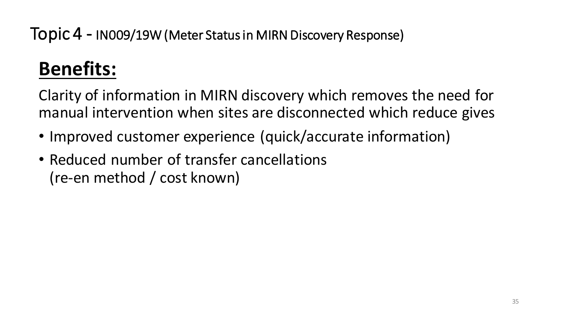# **Benefits:**

Clarity of information in MIRN discovery which removes the need for manual intervention when sites are disconnected which reduce gives

- Improved customer experience (quick/accurate information)
- Reduced number of transfer cancellations (re-en method / cost known)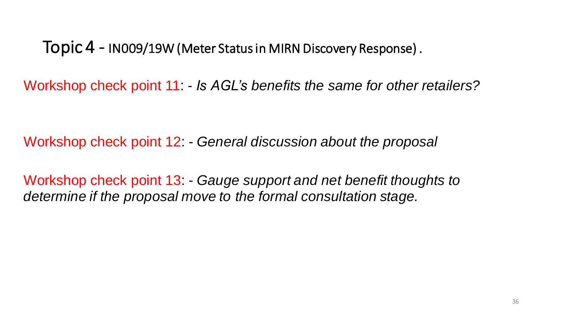Workshop check point 11: - *Is AGL's benefits the same for other retailers?* 

Workshop check point 12: - *General discussion about the proposal*

Workshop check point 13 Gauge support and net benefit thoughts to *determine if the proposal move to the formal consultation stage.*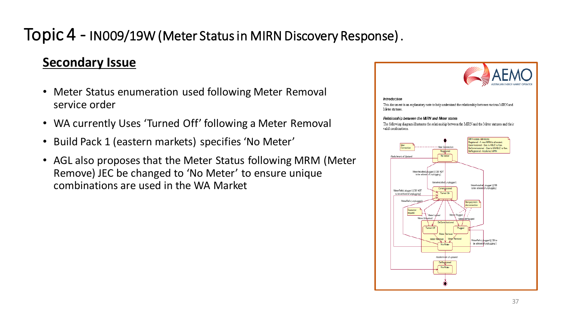#### **Secondary Issue**

- Meter Status enumeration used following Meter Removal service order
- WA currently Uses 'Turned Off' following a Meter Removal
- Build Pack 1 (eastern markets) specifies 'No Meter'
- AGL also proposes that the Meter Status following MRM (Meter Remove) JEC be changed to 'No Meter' to ensure unique combinations are used in the WA Market



#### **Introduction**

This document is an explanatory note to help understand the relationship between various MIRN and Meter statuses

#### Relationship between the MRN and Meter states

The following diagram illustrates the relationship between the MIRN and the Meter statuses and their valid combinations

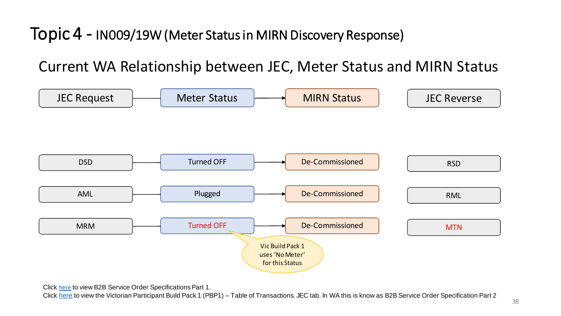Current WA Relationship between JEC, Meter Status and MIRN Status



Click [here](https://www.aemo.com.au/-/media/files/gas/retail_markets_and_metering/market-procedures/sa_and_wa/specification-pack/b2b-service-order-specifications--part-1-v23-clean.pdf?la=en&hash=66B10E5DD117963C909707C2950040AE) to view B2B Service Order Specifications Part 1.

Click [here](https://aemo.com.au/-/media/files/gas/retail_markets_and_metering/market-procedures/vic/gip/build_pack_1/participant-build-pack-1--process-flow-table-of-transactions-v35-clean.xlsx?la=en&hash=E93AC5D7EC08A406DA432DF7D526DEE3) to view the Victorian Participant Build Pack 1 (PBP1) – Table of Transactions. JEC tab. In WA this is know as B2B Service Order Specification Part 2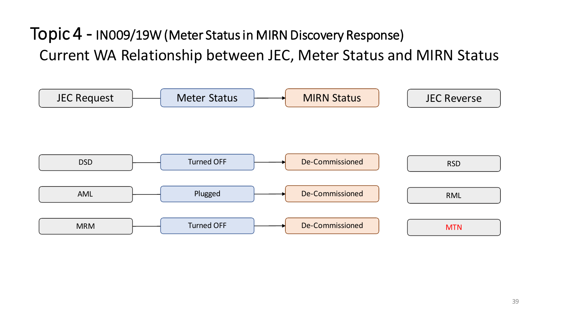Current WA Relationship between JEC, Meter Status and MIRN Status Topic 4 - IN009/19W (Meter Status in MIRN Discovery Response)

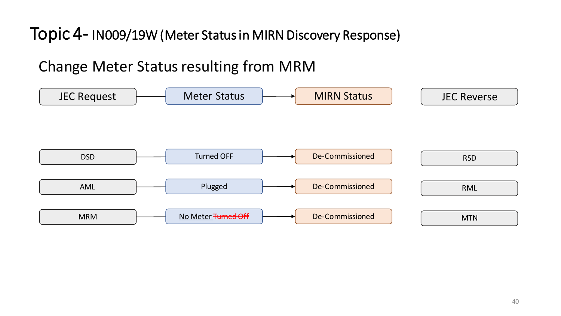#### Change Meter Status resulting from MRM

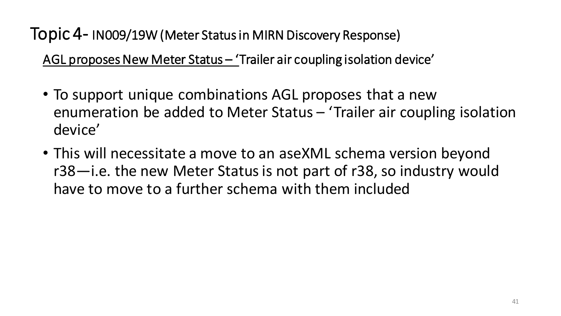AGL proposes New Meter Status – 'Trailer air coupling isolation device'

- To support unique combinations AGL proposes that a new enumeration be added to Meter Status – 'Trailer air coupling isolation device'
- This will necessitate a move to an aseXML schema version beyond r38—i.e. the new Meter Status is not part of r38, so industry would have to move to a further schema with them included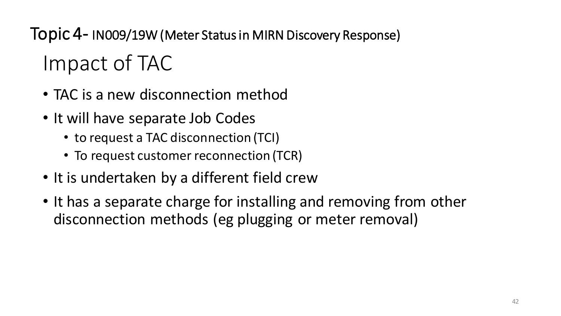Impact of TAC Topic 4- IN009/19W (Meter Status in MIRN Discovery Response)

- TAC is a new disconnection method
- It will have separate Job Codes
	- to request a TAC disconnection (TCI)
	- To request customer reconnection (TCR)
- It is undertaken by a different field crew
- It has a separate charge for installing and removing from other disconnection methods (eg plugging or meter removal)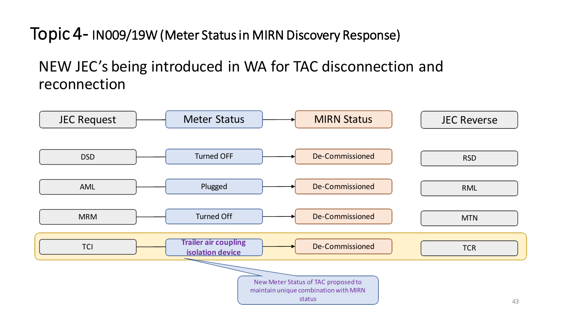#### NEW JEC's being introduced in WA for TAC disconnection and reconnection

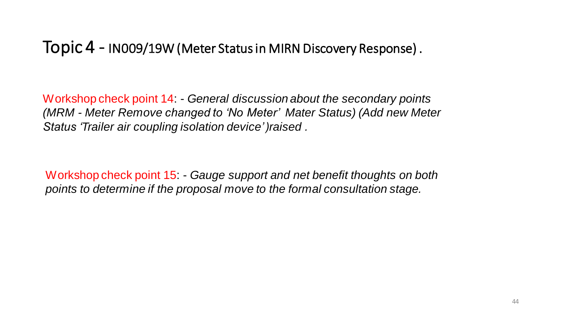Workshop check point 14: - *General discussion about the secondary points (MRM - Meter Remove changed to 'No Meter' Mater Status) (Add new Meter Status 'Trailer air coupling isolation device' )raised .* 

Workshop check point 15: - *Gauge support and net benefit thoughts on both points to determine if the proposal move to the formal consultation stage.*